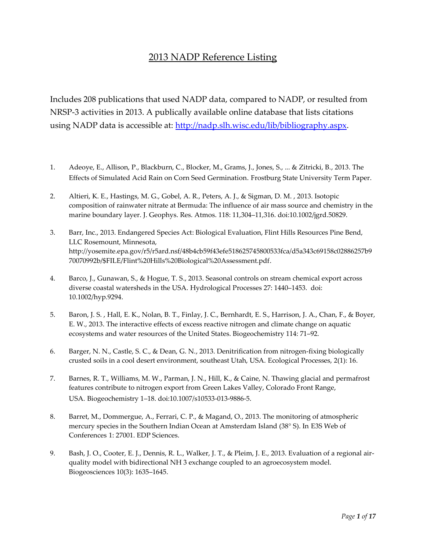## 2013 NADP Reference Listing

Includes 208 publications that used NADP data, compared to NADP, or resulted from NRSP-3 activities in 2013. A publically available online database that lists citations using NADP data is accessible at: http://nadp.slh.wisc.[edu/lib/bibliography.aspx.](http://nadp.slh.wisc.edu/lib/bibliography.aspx) 

- 1. Adeoye, E., Allison, P., Blackburn, C., Blocker, M., Grams, J., Jones, S., ... & Zitricki, B., 2013. The Effects of Simulated Acid Rain on Corn Seed Germination. Frostburg State University Term Paper.
- 2. Altieri, K. E., Hastings, M. G., Gobel, A. R., Peters, A. J., & Sigman, D. M. , 2013. Isotopic composition of rainwater nitrate at Bermuda: The influence of air mass source and chemistry in the marine boundary layer. J. Geophys. Res. Atmos. 118: 11,304–11,316. doi:10.1002/jgrd.50829.
- 3. Barr, Inc., 2013. Endangered Species Act: Biological Evaluation, Flint Hills Resources Pine Bend, LLC Rosemount, Minnesota, [http://yosemite.epa.gov/r5/r5ard.nsf/48b4cb59f43efe518625745800533fca/d5a343c69158c02886257b9](http://yosemite.epa.gov/r5/r5ard.nsf/48b4cb59f43efe518625745800533fca/d5a343c69158c02886257b970070992b/$FILE/Flint%20Hills%20Biological%20Assessment.pdf) [70070992b/\\$FILE/Flint%20Hills%20Biological%20Assessment.pdf.](http://yosemite.epa.gov/r5/r5ard.nsf/48b4cb59f43efe518625745800533fca/d5a343c69158c02886257b970070992b/$FILE/Flint%20Hills%20Biological%20Assessment.pdf)
- 4. Barco, J., Gunawan, S., & Hogue, T. S., 2013. Seasonal controls on stream chemical export across diverse coastal watersheds in the USA. Hydrological Processes 27: 1440–1453. doi: 10.1002/hyp.9294.
- 5. Baron, J. S. , Hall, E. K., Nolan, B. T., Finlay, J. C., Bernhardt, E. S., Harrison, J. A., Chan, F., & Boyer, E. W., 2013. The interactive effects of excess reactive nitrogen and climate change on aquatic ecosystems and water resources of the United States. Biogeochemistry 114: 71–92.
- 6. Barger, N. N., Castle, S. C., & Dean, G. N., 2013. Denitrification from nitrogen-fixing biologically crusted soils in a cool desert environment, southeast Utah, USA. Ecological Processes, 2(1): 16.
- 7. Barnes, R. T., Williams, M. W., Parman, J. N., Hill, K., & Caine, N. Thawing glacial and permafrost features contribute to nitrogen export from Green Lakes Valley, Colorado Front Range, USA. Biogeochemistry 1–18. doi:10.1007/s10533-013-9886-5.
- 8. Barret, M., Dommergue, A., Ferrari, C. P., & Magand, O., 2013. The monitoring of atmospheric mercury species in the Southern Indian Ocean at Amsterdam Island (38° S). In E3S Web of Conferences 1: 27001. EDP Sciences.
- 9. Bash, J. O., Cooter, E. J., Dennis, R. L., Walker, J. T., & Pleim, J. E., 2013. Evaluation of a regional airquality model with bidirectional NH 3 exchange coupled to an agroecosystem model. Biogeosciences 10(3): 1635–1645.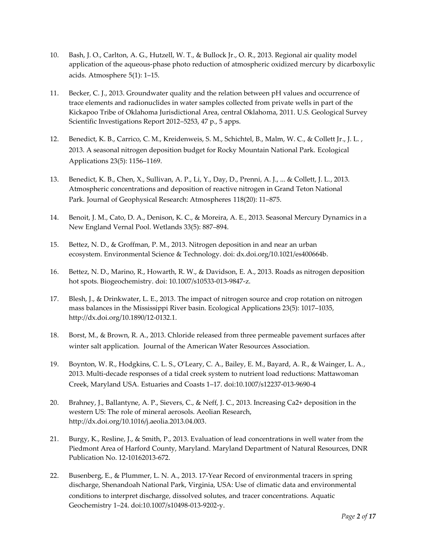- 10. Bash, J. O., Carlton, A. G., Hutzell, W. T., & Bullock Jr., O. R., 2013. Regional air quality model application of the aqueous-phase photo reduction of atmospheric oxidized mercury by dicarboxylic acids. Atmosphere 5(1): 1–15.
- 11. Becker, C. J., 2013. Groundwater quality and the relation between pH values and occurrence of trace elements and radionuclides in water samples collected from private wells in part of the Kickapoo Tribe of Oklahoma Jurisdictional Area, central Oklahoma, 2011. U.S. Geological Survey Scientific Investigations Report 2012–5253, 47 p., 5 apps.
- 12. Benedict, K. B., Carrico, C. M., Kreidenweis, S. M., Schichtel, B., Malm, W. C., & Collett Jr., J. L. , 2013. A seasonal nitrogen deposition budget for Rocky Mountain National Park. Ecological Applications 23(5): 1156–1169.
- 13. Benedict, K. B., Chen, X., Sullivan, A. P., Li, Y., Day, D., Prenni, A. J., ... & Collett, J. L., 2013. Atmospheric concentrations and deposition of reactive nitrogen in Grand Teton National Park. Journal of Geophysical Research: Atmospheres 118(20): 11–875.
- 14. Benoit, J. M., Cato, D. A., Denison, K. C., & Moreira, A. E., 2013. Seasonal Mercury Dynamics in a New England Vernal Pool. Wetlands 33(5): 887–894.
- 15. Bettez, N. D., & Groffman, P. M., 2013. Nitrogen deposition in and near an urban ecosystem. Environmental Science & Technology. doi: dx.doi.org/10.1021/es400664b.
- 16. Bettez, N. D., Marino, R., Howarth, R. W., & Davidson, E. A., 2013. Roads as nitrogen deposition hot spots. Biogeochemistry. doi: 10.1007/s10533-013-9847-z.
- 17. Blesh, J., & Drinkwater, L. E., 2013. The impact of nitrogen source and crop rotation on nitrogen mass balances in the Mississippi River basin. Ecological Applications 23(5): 1017–1035, [http://dx.doi.org/10.1890/12-0132.1.](http://dx.doi.org/10.1890/12-0132.1)
- 18. Borst, M., & Brown, R. A., 2013. Chloride released from three permeable pavement surfaces after winter salt application. Journal of the American Water Resources Association.
- 19. Boynton, W. R., Hodgkins, C. L. S., O'Leary, C. A., Bailey, E. M., Bayard, A. R., & Wainger, L. A., 2013. Multi-decade responses of a tidal creek system to nutrient load reductions: Mattawoman Creek, Maryland USA. Estuaries and Coasts 1–17. doi:10.1007/s12237-013-9690-4
- 20. Brahney, J., Ballantyne, A. P., Sievers, C., & Neff, J. C., 2013. Increasing Ca2+ deposition in the western US: The role of mineral aerosols. Aeolian Research, [http://dx.doi.org/10.1016/j.aeolia.2013.04.003.](http://dx.doi.org/10.1016/j.aeolia.2013.04.003)
- 21. Burgy, K., Resline, J., & Smith, P., 2013. Evaluation of lead concentrations in well water from the Piedmont Area of Harford County, Maryland. Maryland Department of Natural Resources, DNR Publication No. 12-10162013-672.
- 22. Busenberg, E., & Plummer, L. N. A., 2013. 17-Year Record of environmental tracers in spring discharge, Shenandoah National Park, Virginia, USA: Use of climatic data and environmental conditions to interpret discharge, dissolved solutes, and tracer concentrations. Aquatic Geochemistry 1–24. doi:10.1007/s10498-013-9202-y.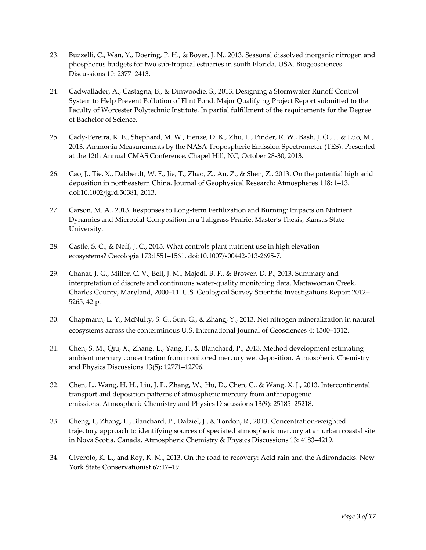- 23. Buzzelli, C., Wan, Y., Doering, P. H., & Boyer, J. N., 2013. Seasonal dissolved inorganic nitrogen and phosphorus budgets for two sub-tropical estuaries in south Florida, USA. Biogeosciences Discussions 10: 2377–2413.
- 24. Cadwallader, A., Castagna, B., & Dinwoodie, S., 2013. Designing a Stormwater Runoff Control System to Help Prevent Pollution of Flint Pond. Major Qualifying Project Report submitted to the Faculty of Worcester Polytechnic Institute. In partial fulfillment of the requirements for the Degree of Bachelor of Science.
- 25. Cady-Pereira, K. E., Shephard, M. W., Henze, D. K., Zhu, L., Pinder, R. W., Bash, J. O., ... & Luo, M., 2013. Ammonia Measurements by the NASA Tropospheric Emission Spectrometer (TES). Presented at the 12th Annual CMAS Conference, Chapel Hill, NC, October 28-30, 2013.
- 26. Cao, J., Tie, X., Dabberdt, W. F., Jie, T., Zhao, Z., An, Z., & Shen, Z., 2013. On the potential high acid deposition in northeastern China. Journal of Geophysical Research: Atmospheres 118: 1–13. doi:10.1002/jgrd.50381, 2013.
- 27. Carson, M. A., 2013. Responses to Long-term Fertilization and Burning: Impacts on Nutrient Dynamics and Microbial Composition in a Tallgrass Prairie. Master's Thesis, Kansas State University.
- 28. Castle, S. C., & Neff, J. C., 2013. What controls plant nutrient use in high elevation ecosystems? Oecologia 173:1551–1561. doi:10.1007/s00442-013-2695-7.
- 29. Chanat, J. G., Miller, C. V., Bell, J. M., Majedi, B. F., & Brower, D. P., 2013. Summary and interpretation of discrete and continuous water-quality monitoring data, Mattawoman Creek, Charles County, Maryland, 2000–11. U.S. Geological Survey Scientific Investigations Report 2012– 5265, 42 p.
- 30. Chapmann, L. Y., McNulty, S. G., Sun, G., & Zhang, Y., 2013. Net nitrogen mineralization in natural ecosystems across the conterminous U.S. International Journal of Geosciences 4: 1300–1312.
- 31. Chen, S. M., Qiu, X., Zhang, L., Yang, F., & Blanchard, P., 2013. Method development estimating ambient mercury concentration from monitored mercury wet deposition. Atmospheric Chemistry and Physics Discussions 13(5): 12771–12796.
- 32. Chen, L., Wang, H. H., Liu, J. F., Zhang, W., Hu, D., Chen, C., & Wang, X. J., 2013. Intercontinental transport and deposition patterns of atmospheric mercury from anthropogenic emissions. Atmospheric Chemistry and Physics Discussions 13(9): 25185–25218.
- 33. Cheng, I., Zhang, L., Blanchard, P., Dalziel, J., & Tordon, R., 2013. Concentration-weighted trajectory approach to identifying sources of speciated atmospheric mercury at an urban coastal site in Nova Scotia. Canada. Atmospheric Chemistry & Physics Discussions 13: 4183–4219.
- 34. Civerolo, K. L., and Roy, K. M., 2013. On the road to recovery: Acid rain and the Adirondacks. New York State Conservationist 67:17–19.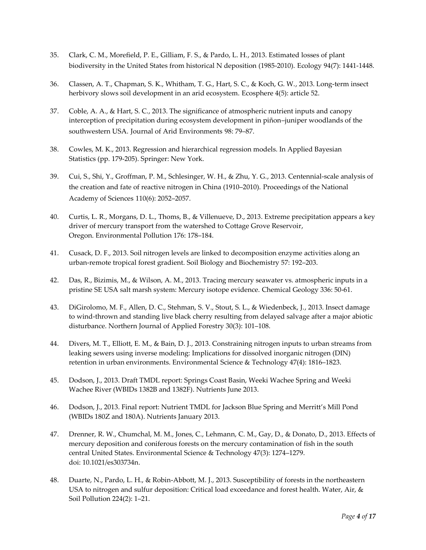- 35. Clark, C. M., Morefield, P. E., Gilliam, F. S., & Pardo, L. H., 2013. Estimated losses of plant biodiversity in the United States from historical N deposition (1985-2010). Ecology 94(7): 1441-1448.
- 36. Classen, A. T., Chapman, S. K., Whitham, T. G., Hart, S. C., & Koch, G. W., 2013. Long-term insect herbivory slows soil development in an arid ecosystem. Ecosphere 4(5): article 52.
- 37. Coble, A. A., & Hart, S. C., 2013. The significance of atmospheric nutrient inputs and canopy interception of precipitation during ecosystem development in piñon–juniper woodlands of the southwestern USA. Journal of Arid Environments 98: 79–87.
- 38. Cowles, M. K., 2013. Regression and hierarchical regression models. In Applied Bayesian Statistics (pp. 179-205). Springer: New York.
- 39. Cui, S., Shi, Y., Groffman, P. M., Schlesinger, W. H., & Zhu, Y. G., 2013. Centennial-scale analysis of the creation and fate of reactive nitrogen in China (1910–2010). Proceedings of the National Academy of Sciences 110(6): 2052–2057.
- 40. Curtis, L. R., Morgans, D. L., Thoms, B., & Villenueve, D., 2013. Extreme precipitation appears a key driver of mercury transport from the watershed to Cottage Grove Reservoir, Oregon. Environmental Pollution 176: 178–184.
- 41. Cusack, D. F., 2013. Soil nitrogen levels are linked to decomposition enzyme activities along an urban-remote tropical forest gradient. Soil Biology and Biochemistry 57: 192–203.
- 42. Das, R., Bizimis, M., & Wilson, A. M., 2013. Tracing mercury seawater vs. atmospheric inputs in a pristine SE USA salt marsh system: Mercury isotope evidence. Chemical Geology 336: 50-61.
- 43. DiGirolomo, M. F., Allen, D. C., Stehman, S. V., Stout, S. L., & Wiedenbeck, J., 2013. Insect damage to wind-thrown and standing live black cherry resulting from delayed salvage after a major abiotic disturbance. Northern Journal of Applied Forestry 30(3): 101–108.
- 44. Divers, M. T., Elliott, E. M., & Bain, D. J., 2013. Constraining nitrogen inputs to urban streams from leaking sewers using inverse modeling: Implications for dissolved inorganic nitrogen (DIN) retention in urban environments. Environmental Science & Technology 47(4): 1816–1823.
- 45. Dodson, J., 2013. Draft TMDL report: Springs Coast Basin, Weeki Wachee Spring and Weeki Wachee River (WBIDs 1382B and 1382F). Nutrients June 2013.
- 46. Dodson, J., 2013. Final report: Nutrient TMDL for Jackson Blue Spring and Merritt's Mill Pond (WBIDs 180Z and 180A). Nutrients January 2013.
- 47. Drenner, R. W., Chumchal, M. M., Jones, C., Lehmann, C. M., Gay, D., & Donato, D., 2013. Effects of mercury deposition and coniferous forests on the mercury contamination of fish in the south central United States. Environmental Science & Technology 47(3): 1274–1279. doi: 10.1021/es303734n.
- 48. Duarte, N., Pardo, L. H., & Robin-Abbott, M. J., 2013. Susceptibility of forests in the northeastern USA to nitrogen and sulfur deposition: Critical load exceedance and forest health. Water, Air, & Soil Pollution 224(2): 1–21.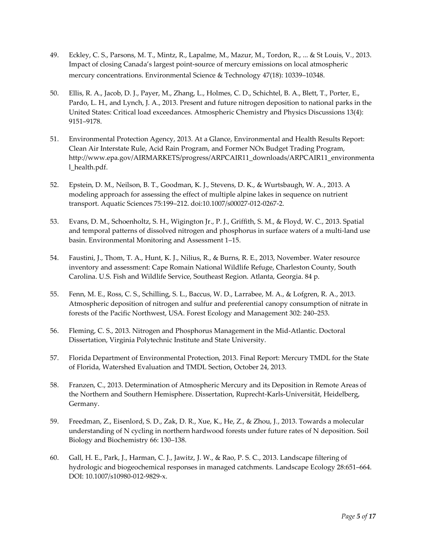- 49. Eckley, C. S., Parsons, M. T., Mintz, R., Lapalme, M., Mazur, M., Tordon, R., ... & St Louis, V., 2013. Impact of closing Canada's largest point-source of mercury emissions on local atmospheric mercury concentrations. Environmental Science & Technology 47(18): 10339–10348.
- 50. Ellis, R. A., Jacob, D. J., Payer, M., Zhang, L., Holmes, C. D., Schichtel, B. A., Blett, T., Porter, E., Pardo, L. H., and Lynch, J. A., 2013. Present and future nitrogen deposition to national parks in the United States: Critical load exceedances. Atmospheric Chemistry and Physics Discussions 13(4): 9151–9178.
- 51. Environmental Protection Agency, 2013. At a Glance, Environmental and Health Results Report: Clean Air Interstate Rule, Acid Rain Program, and Former NOx Budget Trading Program, [http://www.epa.gov/AIRMARKETS/progress/ARPCAIR11\\_downloads/ARPCAIR11\\_environmenta](http://www.epa.gov/AIRMARKETS/progress/ARPCAIR11_downloads/ARPCAIR11_environmental_health.pdf) [l\\_health.pdf.](http://www.epa.gov/AIRMARKETS/progress/ARPCAIR11_downloads/ARPCAIR11_environmental_health.pdf)
- 52. Epstein, D. M., Neilson, B. T., Goodman, K. J., Stevens, D. K., & Wurtsbaugh, W. A., 2013. A modeling approach for assessing the effect of multiple alpine lakes in sequence on nutrient transport. Aquatic Sciences 75:199–212. doi:10.1007/s00027-012-0267-2.
- 53. Evans, D. M., Schoenholtz, S. H., Wigington Jr., P. J., Griffith, S. M., & Floyd, W. C., 2013. Spatial and temporal patterns of dissolved nitrogen and phosphorus in surface waters of a multi-land use basin. Environmental Monitoring and Assessment 1–15.
- 54. Faustini, J., Thom, T. A., Hunt, K. J., Nilius, R., & Burns, R. E., 2013, November. Water resource inventory and assessment: Cape Romain National Wildlife Refuge, Charleston County, South Carolina. U.S. Fish and Wildlife Service, Southeast Region. Atlanta, Georgia. 84 p.
- 55. Fenn, M. E., Ross, C. S., Schilling, S. L., Baccus, W. D., Larrabee, M. A., & Lofgren, R. A., 2013. Atmospheric deposition of nitrogen and sulfur and preferential canopy consumption of nitrate in forests of the Pacific Northwest, USA. Forest Ecology and Management 302: 240–253.
- 56. Fleming, C. S., 2013. Nitrogen and Phosphorus Management in the Mid-Atlantic. Doctoral Dissertation, Virginia Polytechnic Institute and State University.
- 57. Florida Department of Environmental Protection, 2013. Final Report: Mercury TMDL for the State of Florida, Watershed Evaluation and TMDL Section, October 24, 2013.
- 58. Franzen, C., 2013. Determination of Atmospheric Mercury and its Deposition in Remote Areas of the Northern and Southern Hemisphere. Dissertation, Ruprecht-Karls-Universität, Heidelberg, Germany.
- 59. Freedman, Z., Eisenlord, S. D., Zak, D. R., Xue, K., He, Z., & Zhou, J., 2013. Towards a molecular understanding of N cycling in northern hardwood forests under future rates of N deposition. Soil Biology and Biochemistry 66: 130–138.
- 60. Gall, H. E., Park, J., Harman, C. J., Jawitz, J. W., & Rao, P. S. C., 2013. Landscape filtering of hydrologic and biogeochemical responses in managed catchments. Landscape Ecology 28:651–664. DOI: 10.1007/s10980-012-9829-x.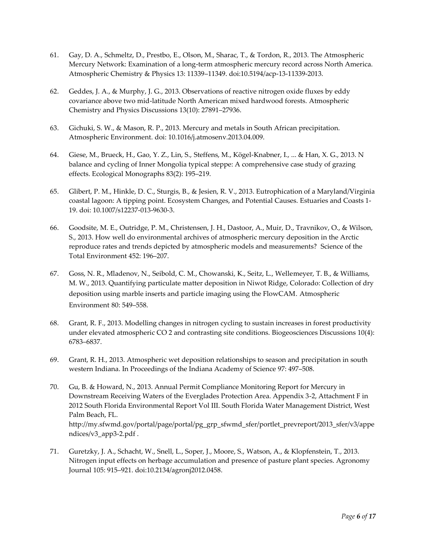- 61. Gay, D. A., Schmeltz, D., Prestbo, E., Olson, M., Sharac, T., & Tordon, R., 2013. The Atmospheric Mercury Network: Examination of a long-term atmospheric mercury record across North America. Atmospheric Chemistry & Physics 13: 11339–11349. doi:10.5194/acp-13-11339-2013.
- 62. Geddes, J. A., & Murphy, J. G., 2013. Observations of reactive nitrogen oxide fluxes by eddy covariance above two mid-latitude North American mixed hardwood forests. Atmospheric Chemistry and Physics Discussions 13(10): 27891–27936.
- 63. Gichuki, S. W., & Mason, R. P., 2013. Mercury and metals in South African precipitation. Atmospheric Environment. doi: 10.1016/j.atmosenv.2013.04.009.
- 64. Giese, M., Brueck, H., Gao, Y. Z., Lin, S., Steffens, M., Kögel-Knabner, I., ... & Han, X. G., 2013. N balance and cycling of Inner Mongolia typical steppe: A comprehensive case study of grazing effects. Ecological Monographs 83(2): 195–219.
- 65. Glibert, P. M., Hinkle, D. C., Sturgis, B., & Jesien, R. V., 2013. Eutrophication of a Maryland/Virginia coastal lagoon: A tipping point. Ecosystem Changes, and Potential Causes. Estuaries and Coasts 1- 19. doi: 10.1007/s12237-013-9630-3.
- 66. Goodsite, M. E., Outridge, P. M., Christensen, J. H., Dastoor, A., Muir, D., Travnikov, O., & Wilson, S., 2013. How well do environmental archives of atmospheric mercury deposition in the Arctic reproduce rates and trends depicted by atmospheric models and measurements? Science of the Total Environment 452: 196–207.
- 67. Goss, N. R., Mladenov, N., Seibold, C. M., Chowanski, K., Seitz, L., Wellemeyer, T. B., & Williams, M. W., 2013. Quantifying particulate matter deposition in Niwot Ridge, Colorado: Collection of dry deposition using marble inserts and particle imaging using the FlowCAM. Atmospheric Environment 80: 549–558.
- 68. Grant, R. F., 2013. Modelling changes in nitrogen cycling to sustain increases in forest productivity under elevated atmospheric CO 2 and contrasting site conditions. Biogeosciences Discussions 10(4): 6783–6837.
- 69. Grant, R. H., 2013. Atmospheric wet deposition relationships to season and precipitation in south western Indiana. In Proceedings of the Indiana Academy of Science 97: 497–508.
- 70. Gu, B. & Howard, N., 2013. Annual Permit Compliance Monitoring Report for Mercury in Downstream Receiving Waters of the Everglades Protection Area. Appendix 3-2, Attachment F in 2012 South Florida Environmental Report Vol III. South Florida Water Management District, West Palm Beach, FL. [http://my.sfwmd.gov/portal/page/portal/pg\\_grp\\_sfwmd\\_sfer/portlet\\_prevreport/2013\\_sfer/v3/appe](http://my.sfwmd.gov/portal/page/portal/pg_grp_sfwmd_sfer/portlet_prevreport/2013_sfer/v3/appendices/v3_app3-2.pdf) [ndices/v3\\_app3-2.pdf](http://my.sfwmd.gov/portal/page/portal/pg_grp_sfwmd_sfer/portlet_prevreport/2013_sfer/v3/appendices/v3_app3-2.pdf) .
- 71. Guretzky, J. A., Schacht, W., Snell, L., Soper, J., Moore, S., Watson, A., & Klopfenstein, T., 2013. Nitrogen input effects on herbage accumulation and presence of pasture plant species. Agronomy Journal 105: 915–921. doi:10.2134/agronj2012.0458.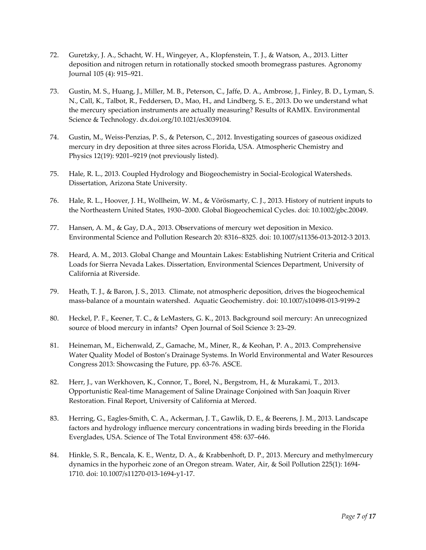- 72. Guretzky, J. A., Schacht, W. H., Wingeyer, A., Klopfenstein, T. J., & Watson, A., 2013. Litter deposition and nitrogen return in rotationally stocked smooth bromegrass pastures. Agronomy Journal 105 (4): 915–921.
- 73. Gustin, M. S., Huang, J., Miller, M. B., Peterson, C., Jaffe, D. A., Ambrose, J., Finley, B. D., Lyman, S. N., Call, K., Talbot, R., Feddersen, D., Mao, H., and Lindberg, S. E., 2013. Do we understand what the mercury speciation instruments are actually measuring? Results of RAMIX. Environmental Science & Technology. dx.doi.org/10.1021/es3039104.
- 74. Gustin, M., Weiss-Penzias, P. S., & Peterson, C., 2012. Investigating sources of gaseous oxidized mercury in dry deposition at three sites across Florida, USA. Atmospheric Chemistry and Physics 12(19): 9201–9219 (not previously listed).
- 75. Hale, R. L., 2013. Coupled Hydrology and Biogeochemistry in Social-Ecological Watersheds. Dissertation, Arizona State University.
- 76. Hale, R. L., Hoover, J. H., Wollheim, W. M., & Vörösmarty, C. J., 2013. History of nutrient inputs to the Northeastern United States, 1930–2000. Global Biogeochemical Cycles. doi: 10.1002/gbc.20049.
- 77. Hansen, A. M., & Gay, D.A., 2013. Observations of mercury wet deposition in Mexico. Environmental Science and Pollution Research 20: 8316–8325. doi: 10.1007/s11356-013-2012-3 2013.
- 78. Heard, A. M., 2013. Global Change and Mountain Lakes: Establishing Nutrient Criteria and Critical Loads for Sierra Nevada Lakes. Dissertation, Environmental Sciences Department, University of California at Riverside.
- 79. Heath, T. J., & Baron, J. S., 2013. Climate, not atmospheric deposition, drives the biogeochemical mass-balance of a mountain watershed. Aquatic Geochemistry. doi: 10.1007/s10498-013-9199-2
- 80. Heckel, P. F., Keener, T. C., & LeMasters, G. K., 2013. Background soil mercury: An unrecognized source of blood mercury in infants? Open Journal of Soil Science 3: 23–29.
- 81. Heineman, M., Eichenwald, Z., Gamache, M., Miner, R., & Keohan, P. A., 2013. Comprehensive Water Quality Model of Boston's Drainage Systems. In World Environmental and Water Resources Congress 2013: Showcasing the Future, pp. 63-76. ASCE.
- 82. Herr, J., van Werkhoven, K., Connor, T., Borel, N., Bergstrom, H., & Murakami, T., 2013. Opportunistic Real-time Management of Saline Drainage Conjoined with San Joaquin River Restoration. Final Report, University of California at Merced.
- 83. Herring, G., Eagles-Smith, C. A., Ackerman, J. T., Gawlik, D. E., & Beerens, J. M., 2013. Landscape factors and hydrology influence mercury concentrations in wading birds breeding in the Florida Everglades, USA. Science of The Total Environment 458: 637–646.
- 84. Hinkle, S. R., Bencala, K. E., Wentz, D. A., & Krabbenhoft, D. P., 2013. Mercury and methylmercury dynamics in the hyporheic zone of an Oregon stream. Water, Air, & Soil Pollution 225(1): 1694- 1710. doi: 10.1007/s11270-013-1694-y1-17.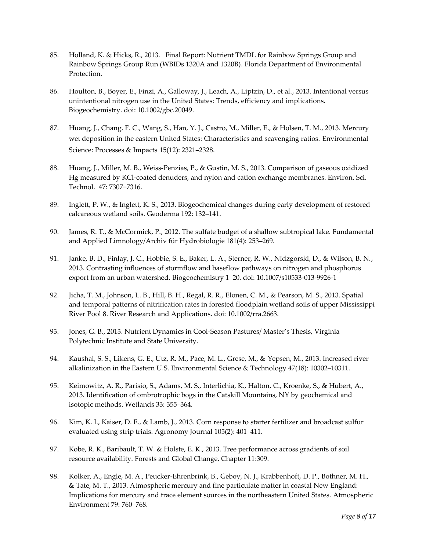- 85. Holland, K. & Hicks, R., 2013. Final Report: Nutrient TMDL for Rainbow Springs Group and Rainbow Springs Group Run (WBIDs 1320A and 1320B). Florida Department of Environmental Protection.
- 86. Houlton, B., Boyer, E., Finzi, A., Galloway, J., Leach, A., Liptzin, D., et al., 2013. Intentional versus unintentional nitrogen use in the United States: Trends, efficiency and implications. Biogeochemistry. doi: 10.1002/gbc.20049.
- 87. Huang, J., Chang, F. C., Wang, S., Han, Y. J., Castro, M., Miller, E., & Holsen, T. M., 2013. Mercury wet deposition in the eastern United States: Characteristics and scavenging ratios. Environmental Science: Processes & Impacts 15(12): 2321–2328.
- 88. Huang, J., Miller, M. B., Weiss-Penzias, P., & Gustin, M. S., 2013. Comparison of gaseous oxidized Hg measured by KCl-coated denuders, and nylon and cation exchange membranes. Environ. Sci. Technol. 47: 7307−7316.
- 89. Inglett, P. W., & Inglett, K. S., 2013. Biogeochemical changes during early development of restored calcareous wetland soils. Geoderma 192: 132–141.
- 90. James, R. T., & McCormick, P., 2012. The sulfate budget of a shallow subtropical lake. Fundamental and Applied Limnology/Archiv für Hydrobiologie 181(4): 253–269.
- 91. Janke, B. D., Finlay, J. C., Hobbie, S. E., Baker, L. A., Sterner, R. W., Nidzgorski, D., & Wilson, B. N., 2013. Contrasting influences of stormflow and baseflow pathways on nitrogen and phosphorus export from an urban watershed. Biogeochemistry 1–20. doi: 10.1007/s10533-013-9926-1
- 92. Jicha, T. M., Johnson, L. B., Hill, B. H., Regal, R. R., Elonen, C. M., & Pearson, M. S., 2013. Spatial and temporal patterns of nitrification rates in forested floodplain wetland soils of upper Mississippi River Pool 8. River Research and Applications. doi: 10.1002/rra.2663.
- 93. Jones, G. B., 2013. Nutrient Dynamics in Cool-Season Pastures/ Master's Thesis, Virginia Polytechnic Institute and State University.
- 94. Kaushal, S. S., Likens, G. E., Utz, R. M., Pace, M. L., Grese, M., & Yepsen, M., 2013. Increased river alkalinization in the Eastern U.S. Environmental Science & Technology 47(18): 10302–10311.
- 95. Keimowitz, A. R., Parisio, S., Adams, M. S., Interlichia, K., Halton, C., Kroenke, S., & Hubert, A., 2013. Identification of ombrotrophic bogs in the Catskill Mountains, NY by geochemical and isotopic methods. Wetlands 33: 355–364.
- 96. Kim, K. I., Kaiser, D. E., & Lamb, J., 2013. Corn response to starter fertilizer and broadcast sulfur evaluated using strip trials. Agronomy Journal 105(2): 401–411.
- 97. Kobe, R. K., Baribault, T. W. & Holste, E. K., 2013. Tree performance across gradients of soil resource availability. Forests and Global Change, Chapter 11:309.
- 98. Kolker, A., Engle, M. A., Peucker-Ehrenbrink, B., Geboy, N. J., Krabbenhoft, D. P., Bothner, M. H., & Tate, M. T., 2013. Atmospheric mercury and fine particulate matter in coastal New England: Implications for mercury and trace element sources in the northeastern United States. Atmospheric Environment 79: 760–768.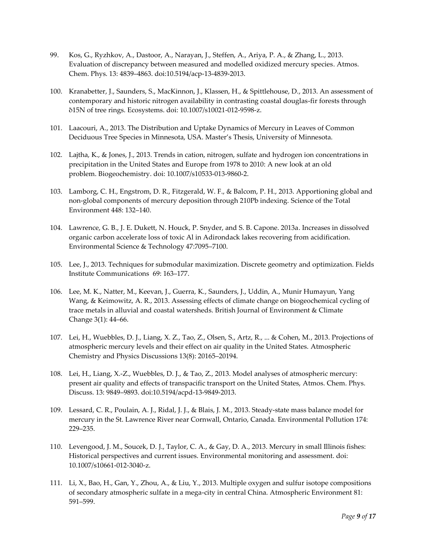- 99. Kos, G., Ryzhkov, A., Dastoor, A., Narayan, J., Steffen, A., Ariya, P. A., & Zhang, L., 2013. Evaluation of discrepancy between measured and modelled oxidized mercury species. Atmos. Chem. Phys. 13: 4839–4863. doi:10.5194/acp-13-4839-2013.
- 100. Kranabetter, J., Saunders, S., MacKinnon, J., Klassen, H., & Spittlehouse, D., 2013. An assessment of contemporary and historic nitrogen availability in contrasting coastal douglas-fir forests through δ15N of tree rings. Ecosystems. doi: 10.1007/s10021-012-9598-z.
- 101. Laacouri, A., 2013. The Distribution and Uptake Dynamics of Mercury in Leaves of Common Deciduous Tree Species in Minnesota, USA. Master's Thesis, University of Minnesota.
- 102. Lajtha, K., & Jones, J., 2013. Trends in cation, nitrogen, sulfate and hydrogen ion concentrations in precipitation in the United States and Europe from 1978 to 2010: A new look at an old problem. Biogeochemistry. doi: 10.1007/s10533-013-9860-2.
- 103. Lamborg, C. H., Engstrom, D. R., Fitzgerald, W. F., & Balcom, P. H., 2013. Apportioning global and non-global components of mercury deposition through 210Pb indexing. Science of the Total Environment 448: 132–140.
- 104. Lawrence, G. B., J. E. Dukett, N. Houck, P. Snyder, and S. B. Capone. 2013a. Increases in dissolved organic carbon accelerate loss of toxic Al in Adirondack lakes recovering from acidification. Environmental Science & Technology 47:7095–7100.
- 105. Lee, J., 2013. Techniques for submodular maximization. [Discrete geometry and optimization.](http://link.springer.com/book/10.1007/978-3-319-00200-2) [Fields](http://link.springer.com/bookseries/10503)  [Institute Communications](http://link.springer.com/bookseries/10503) 69: 163–177.
- 106. Lee, M. K., Natter, M., Keevan, J., Guerra, K., Saunders, J., Uddin, A., Munir Humayun, Yang Wang, & Keimowitz, A. R., 2013. Assessing effects of climate change on biogeochemical cycling of trace metals in alluvial and coastal watersheds. British Journal of Environment & Climate Change 3(1): 44–66.
- 107. Lei, H., Wuebbles, D. J., Liang, X. Z., Tao, Z., Olsen, S., Artz, R., ... & Cohen, M., 2013. Projections of atmospheric mercury levels and their effect on air quality in the United States. Atmospheric Chemistry and Physics Discussions 13(8): 20165–20194.
- 108. Lei, H., Liang, X.-Z., Wuebbles, D. J., & Tao, Z., 2013. Model analyses of atmospheric mercury: present air quality and effects of transpacific transport on the United States, Atmos. Chem. Phys. Discuss. 13: 9849–9893. doi:10.5194/acpd-13-9849-2013.
- 109. Lessard, C. R., Poulain, A. J., Ridal, J. J., & Blais, J. M., 2013. Steady-state mass balance model for mercury in the St. Lawrence River near Cornwall, Ontario, Canada. Environmental Pollution 174: 229–235.
- 110. Levengood, J. M., Soucek, D. J., Taylor, C. A., & Gay, D. A., 2013. Mercury in small Illinois fishes: Historical perspectives and current issues. Environmental monitoring and assessment. doi: 10.1007/s10661-012-3040-z.
- 111. Li, X., Bao, H., Gan, Y., Zhou, A., & Liu, Y., 2013. Multiple oxygen and sulfur isotope compositions of secondary atmospheric sulfate in a mega-city in central China. Atmospheric Environment 81: 591–599.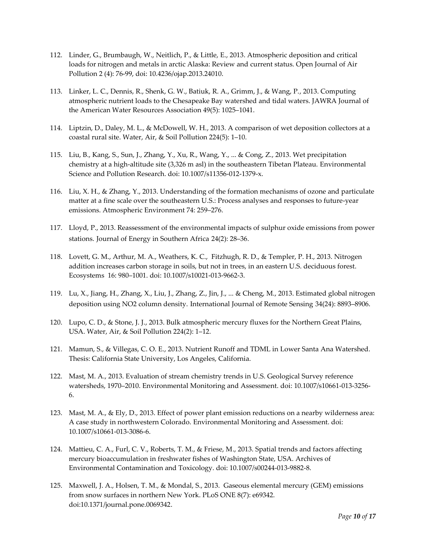- 112. Linder, G., Brumbaugh, W., Neitlich, P., & Little, E., 2013. Atmospheric deposition and critical loads for nitrogen and metals in arctic Alaska: Review and current status. Open Journal of Air Pollution 2 (4): 76-99, doi: 10.4236/ojap.2013.24010.
- 113. Linker, L. C., Dennis, R., Shenk, G. W., Batiuk, R. A., Grimm, J., & Wang, P., 2013. Computing atmospheric nutrient loads to the Chesapeake Bay watershed and tidal waters. JAWRA Journal of the American Water Resources Association 49(5): 1025–1041.
- 114. Liptzin, D., Daley, M. L., & McDowell, W. H., 2013. A comparison of wet deposition collectors at a coastal rural site. Water, Air, & Soil Pollution 224(5): 1–10.
- 115. Liu, B., Kang, S., Sun, J., Zhang, Y., Xu, R., Wang, Y., ... & Cong, Z., 2013. Wet precipitation chemistry at a high-altitude site (3,326 m asl) in the southeastern Tibetan Plateau. Environmental Science and Pollution Research. doi: 10.1007/s11356-012-1379-x.
- 116. Liu, X. H., & Zhang, Y., 2013. Understanding of the formation mechanisms of ozone and particulate matter at a fine scale over the southeastern U.S.: Process analyses and responses to future-year emissions. Atmospheric Environment 74: 259–276.
- 117. Lloyd, P., 2013. Reassessment of the environmental impacts of sulphur oxide emissions from power stations. Journal of Energy in Southern Africa 24(2): 28–36.
- 118. Lovett, G. M., Arthur, M. A., Weathers, K. C., Fitzhugh, R. D., & Templer, P. H., 2013. Nitrogen addition increases carbon storage in soils, but not in trees, in an eastern U.S. deciduous forest. Ecosystems 16: 980–1001. doi: 10.1007/s10021-013-9662-3.
- 119. Lu, X., Jiang, H., Zhang, X., Liu, J., Zhang, Z., Jin, J., ... & Cheng, M., 2013. Estimated global nitrogen deposition using NO2 column density. International Journal of Remote Sensing 34(24): 8893–8906.
- 120. Lupo, C. D., & Stone, J. J., 2013. Bulk atmospheric mercury fluxes for the Northern Great Plains, USA. Water, Air, & Soil Pollution 224(2): 1–12.
- 121. Mamun, S., & Villegas, C. O. E., 2013. Nutrient Runoff and TDML in Lower Santa Ana Watershed. Thesis: California State University, Los Angeles, California.
- 122. Mast, M. A., 2013. Evaluation of stream chemistry trends in U.S. Geological Survey reference watersheds, 1970–2010. Environmental Monitoring and Assessment. doi: 10.1007/s10661-013-3256- 6.
- 123. Mast, M. A., & Ely, D., 2013. Effect of power plant emission reductions on a nearby wilderness area: A case study in northwestern Colorado. Environmental Monitoring and Assessment. doi: 10.1007/s10661-013-3086-6.
- 124. Mattieu, C. A., Furl, C. V., Roberts, T. M., & Friese, M., 2013. Spatial trends and factors affecting mercury bioaccumulation in freshwater fishes of Washington State, USA. Archives of Environmental Contamination and Toxicology. doi: 10.1007/s00244-013-9882-8.
- 125. Maxwell, J. A., Holsen, T. M., & Mondal, S., 2013. Gaseous elemental mercury (GEM) emissions from snow surfaces in northern New York. PLoS ONE 8(7): e69342. doi:10.1371/journal.pone.0069342.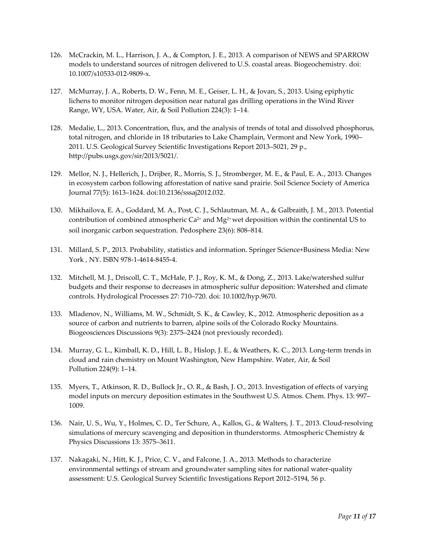- 126. McCrackin, M. L., Harrison, J. A., & Compton, J. E., 2013. A comparison of NEWS and SPARROW models to understand sources of nitrogen delivered to U.S. coastal areas. Biogeochemistry. doi: 10.1007/s10533-012-9809-x.
- 127. McMurray, J. A., Roberts, D. W., Fenn, M. E., Geiser, L. H., & Jovan, S., 2013. Using epiphytic lichens to monitor nitrogen deposition near natural gas drilling operations in the Wind River Range, WY, USA. Water, Air, & Soil Pollution 224(3): 1–14.
- 128. Medalie, L., 2013. Concentration, flux, and the analysis of trends of total and dissolved phosphorus, total nitrogen, and chloride in 18 tributaries to Lake Champlain, Vermont and New York, 1990– 2011. U.S. Geological Survey Scientific Investigations Report 2013–5021, 29 p., http://pubs.usgs.gov/sir/2013/5021/.
- 129. Mellor, N. J., Hellerich, J., Drijber, R., Morris, S. J., Stromberger, M. E., & Paul, E. A., 2013. Changes in ecosystem carbon following afforestation of native sand prairie. Soil Science Society of America Journal 77(5): 1613–1624. doi:10.2136/sssaj2012.032.
- 130. Mikhailova, E. A., Goddard, M. A., Post, C. J., Schlautman, M. A., & Galbraith, J. M., 2013. Potential contribution of combined atmospheric  $Ca^{2+}$  and  $Mg^{2+}$  wet deposition within the continental US to soil inorganic carbon sequestration. Pedosphere 23(6): 808–814.
- 131. Millard, S. P., 2013. Probability, statistics and information. Springer Science+Business Media: New York , NY. ISBN 978-1-4614-8455-4.
- 132. Mitchell, M. J., Driscoll, C. T., McHale, P. J., Roy, K. M., & Dong, Z., 2013. Lake/watershed sulfur budgets and their response to decreases in atmospheric sulfur deposition: Watershed and climate controls. Hydrological Processes 27: 710–720. doi: 10.1002/hyp.9670.
- 133. Mladenov, N., Williams, M. W., Schmidt, S. K., & Cawley, K., 2012. Atmospheric deposition as a source of carbon and nutrients to barren, alpine soils of the Colorado Rocky Mountains. Biogeosciences Discussions 9(3): 2375–2424 (not previously recorded).
- 134. Murray, G. L., Kimball, K. D., Hill, L. B., Hislop, J. E., & Weathers, K. C., 2013. Long-term trends in cloud and rain chemistry on Mount Washington, New Hampshire. Water, Air, & Soil Pollution 224(9): 1–14.
- 135. Myers, T., Atkinson, R. D., Bullock Jr., O. R., & Bash, J. O., 2013. Investigation of effects of varying model inputs on mercury deposition estimates in the Southwest U.S. Atmos. Chem. Phys. 13: 997– 1009.
- 136. Nair, U. S., Wu, Y., Holmes, C. D., Ter Schure, A., Kallos, G., & Walters, J. T., 2013. Cloud-resolving simulations of mercury scavenging and deposition in thunderstorms. Atmospheric Chemistry & Physics Discussions 13: 3575–3611.
- 137. Nakagaki, N., Hitt, K. J., Price, C. V., and Falcone, J. A., 2013. Methods to characterize environmental settings of stream and groundwater sampling sites for national water-quality assessment: U.S. Geological Survey Scientific Investigations Report 2012–5194, 56 p.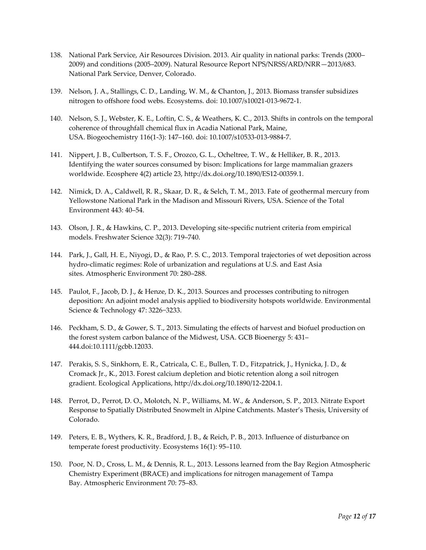- 138. National Park Service, Air Resources Division. 2013. Air quality in national parks: Trends (2000– 2009) and conditions (2005–2009). Natural Resource Report NPS/NRSS/ARD/NRR—2013/683. National Park Service, Denver, Colorado.
- 139. Nelson, J. A., Stallings, C. D., Landing, W. M., & Chanton, J., 2013. Biomass transfer subsidizes nitrogen to offshore food webs. Ecosystems. doi: 10.1007/s10021-013-9672-1.
- 140. Nelson, S. J., Webster, K. E., Loftin, C. S., & Weathers, K. C., 2013. Shifts in controls on the temporal coherence of throughfall chemical flux in Acadia National Park, Maine, USA. Biogeochemistry 116(1-3): 147–160. doi: 10.1007/s10533-013-9884-7.
- 141. Nippert, J. B., Culbertson, T. S. F., Orozco, G. L., Ocheltree, T. W., & Helliker, B. R., 2013. Identifying the water sources consumed by bison: Implications for large mammalian grazers worldwide. Ecosphere 4(2) article 23, [http://dx.doi.org/10.1890/ES12-00359.1.](http://dx.doi.org/10.1890/ES12-00359.1)
- 142. Nimick, D. A., Caldwell, R. R., Skaar, D. R., & Selch, T. M., 2013. Fate of geothermal mercury from Yellowstone National Park in the Madison and Missouri Rivers, USA. Science of the Total Environment 443: 40–54.
- 143. Olson, J. R., & Hawkins, C. P., 2013. Developing site-specific nutrient criteria from empirical models. Freshwater Science 32(3): 719–740.
- 144. Park, J., Gall, H. E., Niyogi, D., & Rao, P. S. C., 2013. Temporal trajectories of wet deposition across hydro-climatic regimes: Role of urbanization and regulations at U.S. and East Asia sites. Atmospheric Environment 70: 280–288.
- 145. Paulot, F., Jacob, D. J., & Henze, D. K., 2013. Sources and processes contributing to nitrogen deposition: An adjoint model analysis applied to biodiversity hotspots worldwide. Environmental Science & Technology 47: 3226−3233.
- 146. Peckham, S. D., & Gower, S. T., 2013. Simulating the effects of harvest and biofuel production on the forest system carbon balance of the Midwest, USA. GCB Bioenergy 5: 431– 444.doi:10.1111/gcbb.12033.
- 147. Perakis, S. S., Sinkhorn, E. R., Catricala, C. E., Bullen, T. D., Fitzpatrick, J., Hynicka, J. D., & Cromack Jr., K., 2013. Forest calcium depletion and biotic retention along a soil nitrogen gradient. Ecological Applications, [http://dx.doi.org/10.1890/12-2204.1.](http://dx.doi.org/10.1890/12-2204.1)
- 148. Perrot, D., Perrot, D. O., Molotch, N. P., Williams, M. W., & Anderson, S. P., 2013. Nitrate Export Response to Spatially Distributed Snowmelt in Alpine Catchments. Master's Thesis, University of Colorado.
- 149. Peters, E. B., Wythers, K. R., Bradford, J. B., & Reich, P. B., 2013. Influence of disturbance on temperate forest productivity. Ecosystems 16(1): 95–110.
- 150. Poor, N. D., Cross, L. M., & Dennis, R. L., 2013. Lessons learned from the Bay Region Atmospheric Chemistry Experiment (BRACE) and implications for nitrogen management of Tampa Bay. Atmospheric Environment 70: 75–83.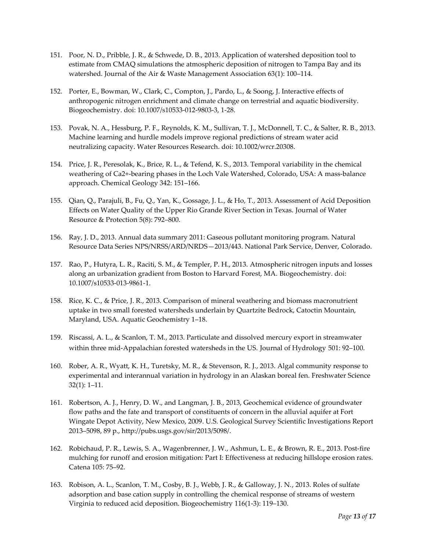- 151. Poor, N. D., Pribble, J. R., & Schwede, D. B., 2013. Application of watershed deposition tool to estimate from CMAQ simulations the atmospheric deposition of nitrogen to Tampa Bay and its watershed. Journal of the Air & Waste Management Association 63(1): 100–114.
- 152. Porter, E., Bowman, W., Clark, C., Compton, J., Pardo, L., & Soong, J. Interactive effects of anthropogenic nitrogen enrichment and climate change on terrestrial and aquatic biodiversity. Biogeochemistry. doi: 10.1007/s10533-012-9803-3, 1-28.
- 153. Povak, N. A., Hessburg, P. F., Reynolds, K. M., Sullivan, T. J., McDonnell, T. C., & Salter, R. B., 2013. Machine learning and hurdle models improve regional predictions of stream water acid neutralizing capacity. Water Resources Research. doi: 10.1002/wrcr.20308.
- 154. Price, J. R., Peresolak, K., Brice, R. L., & Tefend, K. S., 2013. Temporal variability in the chemical weathering of Ca2+-bearing phases in the Loch Vale Watershed, Colorado, USA: A mass-balance approach. Chemical Geology 342: 151–166.
- 155. Qian, Q., Parajuli, B., Fu, Q., Yan, K., Gossage, J. L., & Ho, T., 2013. Assessment of Acid Deposition Effects on Water Quality of the Upper Rio Grande River Section in Texas. Journal of Water Resource & Protection 5(8): 792–800.
- 156. Ray, J. D., 2013. Annual data summary 2011: Gaseous pollutant monitoring program. Natural Resource Data Series NPS/NRSS/ARD/NRDS—2013/443. National Park Service, Denver, Colorado.
- 157. Rao, P., Hutyra, L. R., Raciti, S. M., & Templer, P. H., 2013. Atmospheric nitrogen inputs and losses along an urbanization gradient from Boston to Harvard Forest, MA. Biogeochemistry. doi: 10.1007/s10533-013-9861-1.
- 158. Rice, K. C., & Price, J. R., 2013. Comparison of mineral weathering and biomass macronutrient uptake in two small forested watersheds underlain by Quartzite Bedrock, Catoctin Mountain, Maryland, USA. Aquatic Geochemistry 1–18.
- 159. Riscassi, A. L., & Scanlon, T. M., 2013. Particulate and dissolved mercury export in streamwater within three mid-Appalachian forested watersheds in the US. Journal of Hydrology 501: 92–100.
- 160. Rober, A. R., Wyatt, K. H., Turetsky, M. R., & Stevenson, R. J., 2013. Algal community response to experimental and interannual variation in hydrology in an Alaskan boreal fen. Freshwater Science 32(1): 1–11.
- 161. Robertson, A. J., Henry, D. W., and Langman, J. B., 2013, Geochemical evidence of groundwater flow paths and the fate and transport of constituents of concern in the alluvial aquifer at Fort Wingate Depot Activity, New Mexico, 2009. U.S. Geological Survey Scientific Investigations Report 2013–5098, 89 p., http://pubs.usgs.gov/sir/2013/5098/.
- 162. Robichaud, P. R., Lewis, S. A., Wagenbrenner, J. W., Ashmun, L. E., & Brown, R. E., 2013. Post-fire mulching for runoff and erosion mitigation: Part I: Effectiveness at reducing hillslope erosion rates. Catena 105: 75–92.
- 163. Robison, A. L., Scanlon, T. M., Cosby, B. J., Webb, J. R., & Galloway, J. N., 2013. Roles of sulfate adsorption and base cation supply in controlling the chemical response of streams of western Virginia to reduced acid deposition. Biogeochemistry 116(1-3): 119–130.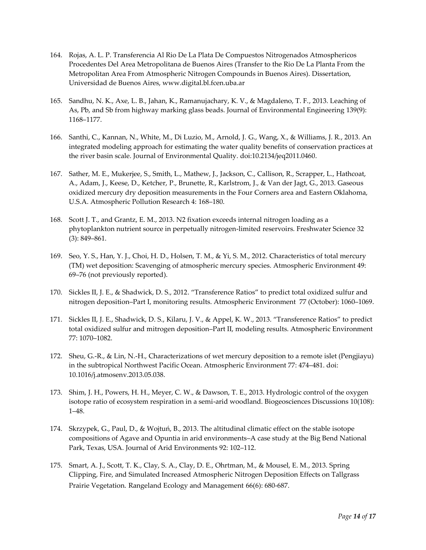- 164. Rojas, A. L. P. Transferencia Al Rio De La Plata De Compuestos Nitrogenados Atmosphericos Procedentes Del Area Metropolitana de Buenos Aires (Transfer to the Rio De La Planta From the Metropolitan Area From Atmospheric Nitrogen Compounds in Buenos Aires). Dissertation, Universidad de Buenos Aires, www.digital.bl.fcen.uba.ar
- 165. Sandhu, N. K., Axe, L. B., Jahan, K., Ramanujachary, K. V., & Magdaleno, T. F., 2013. Leaching of As, Pb, and Sb from highway marking glass beads. Journal of Environmental Engineering 139(9): 1168–1177.
- 166. Santhi, C., Kannan, N., White, M., Di Luzio, M., Arnold, J. G., Wang, X., & Williams, J. R., 2013. An integrated modeling approach for estimating the water quality benefits of conservation practices at the river basin scale. Journal of Environmental Quality. doi:10.2134/jeq2011.0460.
- 167. Sather, M. E., Mukerjee, S., Smith, L., Mathew, J., Jackson, C., Callison, R., Scrapper, L., Hathcoat, A., Adam, J., Keese, D., Ketcher, P., Brunette, R., Karlstrom, J., & Van der Jagt, G., 2013. Gaseous oxidized mercury dry deposition measurements in the Four Corners area and Eastern Oklahoma, U.S.A. Atmospheric Pollution Research 4: 168–180.
- 168. Scott J. T., and Grantz, E. M., 2013. N2 fixation exceeds internal nitrogen loading as a phytoplankton nutrient source in perpetually nitrogen-limited reservoirs. Freshwater Science 32 (3): 849–861.
- 169. Seo, Y. S., Han, Y. J., Choi, H. D., Holsen, T. M., & Yi, S. M., 2012. Characteristics of total mercury (TM) wet deposition: Scavenging of atmospheric mercury species. Atmospheric Environment 49: 69–76 (not previously reported).
- 170. Sickles II, J. E., & Shadwick, D. S., 2012. "Transference Ratios" to predict total oxidized sulfur and nitrogen deposition–Part I, monitoring results. Atmospheric Environment [77](http://www.sciencedirect.com/science/journal/13522310/77/supp/C) (October): 1060–1069.
- 171. Sickles II, J. E., Shadwick, D. S., Kilaru, J. V., & Appel, K. W., 2013. "Transference Ratios" to predict total oxidized sulfur and mitrogen deposition–Part II, modeling results. Atmospheric Environment 77: 1070–1082.
- 172. Sheu, G.-R., & Lin, N.-H., Characterizations of wet mercury deposition to a remote islet (Pengjiayu) in the subtropical Northwest Pacific Ocean. Atmospheric Environment [77:](http://www.sciencedirect.com/science/journal/13522310/77/supp/C) 474–481. doi: 10.1016/j.atmosenv.2013.05.038.
- 173. Shim, J. H., Powers, H. H., Meyer, C. W., & Dawson, T. E., 2013. Hydrologic control of the oxygen isotope ratio of ecosystem respiration in a semi-arid woodland. Biogeosciences Discussions 10(108): 1–48.
- 174. Skrzypek, G., Paul, D., & Wojtuń, B., 2013. The altitudinal climatic effect on the stable isotope compositions of Agave and Opuntia in arid environments–A case study at the Big Bend National Park, Texas, USA. Journal of Arid Environments 92: 102–112.
- 175. Smart, A. J., Scott, T. K., Clay, S. A., Clay, D. E., Ohrtman, M., & Mousel, E. M., 2013. Spring Clipping, Fire, and Simulated Increased Atmospheric Nitrogen Deposition Effects on Tallgrass Prairie Vegetation. Rangeland Ecology and Management 66(6): 680-687.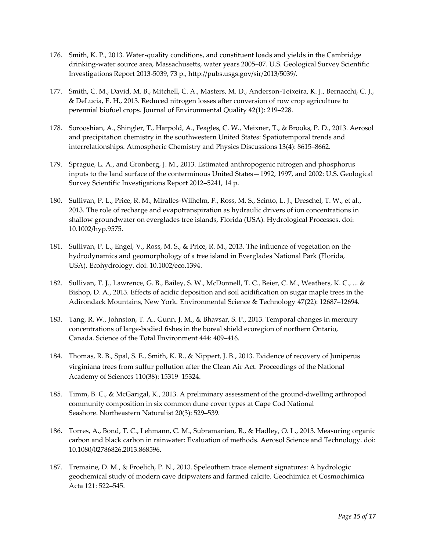- 176. Smith, K. P., 2013. Water-quality conditions, and constituent loads and yields in the Cambridge drinking-water source area, Massachusetts, water years 2005–07. U.S. Geological Survey Scientific Investigations Report 2013-5039, 73 p., http://pubs.usgs.gov/sir/2013/5039/.
- 177. Smith, C. M., David, M. B., Mitchell, C. A., Masters, M. D., Anderson-Teixeira, K. J., Bernacchi, C. J., & DeLucia, E. H., 2013. Reduced nitrogen losses after conversion of row crop agriculture to perennial biofuel crops. Journal of Environmental Quality 42(1): 219–228.
- 178. Sorooshian, A., Shingler, T., Harpold, A., Feagles, C. W., Meixner, T., & Brooks, P. D., 2013. Aerosol and precipitation chemistry in the southwestern United States: Spatiotemporal trends and interrelationships. Atmospheric Chemistry and Physics Discussions 13(4): 8615–8662.
- 179. Sprague, L. A., and Gronberg, J. M., 2013. Estimated anthropogenic nitrogen and phosphorus inputs to the land surface of the conterminous United States—1992, 1997, and 2002: U.S. Geological Survey Scientific Investigations Report 2012–5241, 14 p.
- 180. Sullivan, P. L., Price, R. M., Miralles-Wilhelm, F., Ross, M. S., Scinto, L. J., Dreschel, T. W., et al., 2013. The role of recharge and evapotranspiration as hydraulic drivers of ion concentrations in shallow groundwater on everglades tree islands, Florida (USA). Hydrological Processes. doi: 10.1002/hyp.9575.
- 181. Sullivan, P. L., Engel, V., Ross, M. S., & Price, R. M., 2013. The influence of vegetation on the hydrodynamics and geomorphology of a tree island in Everglades National Park (Florida, USA). Ecohydrology. doi: 10.1002/eco.1394.
- 182. Sullivan, T. J., Lawrence, G. B., Bailey, S. W., McDonnell, T. C., Beier, C. M., Weathers, K. C., ... & Bishop, D. A., 2013. Effects of acidic deposition and soil acidification on sugar maple trees in the Adirondack Mountains, New York. Environmental Science & Technology 47(22): 12687–12694.
- 183. Tang, R. W., Johnston, T. A., Gunn, J. M., & Bhavsar, S. P., 2013. Temporal changes in mercury concentrations of large-bodied fishes in the boreal shield ecoregion of northern Ontario, Canada. Science of the Total Environment 444: 409–416.
- 184. Thomas, R. B., Spal, S. E., Smith, K. R., & Nippert, J. B., 2013. Evidence of recovery of Juniperus virginiana trees from sulfur pollution after the Clean Air Act. Proceedings of the National Academy of Sciences 110(38): 15319–15324.
- 185. Timm, B. C., & McGarigal, K., 2013. A preliminary assessment of the ground-dwelling arthropod community composition in six common dune cover types at Cape Cod National Seashore. Northeastern Naturalist 20(3): 529–539.
- 186. Torres, A., Bond, T. C., Lehmann, C. M., Subramanian, R., & Hadley, O. L., 2013. Measuring organic carbon and black carbon in rainwater: Evaluation of methods. Aerosol Science and Technology. doi: 10.1080/02786826.2013.868596.
- 187. Tremaine, D. M., & Froelich, P. N., 2013. Speleothem trace element signatures: A hydrologic geochemical study of modern cave dripwaters and farmed calcite. Geochimica et Cosmochimica Acta 121: 522–545.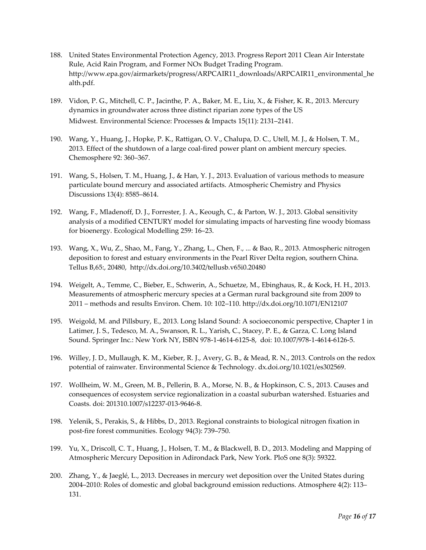- 188. United States Environmental Protection Agency, 2013. Progress Report 2011 Clean Air Interstate Rule, Acid Rain Program, and Former NOx Budget Trading Program. [http://www.epa.gov/airmarkets/progress/ARPCAIR11\\_downloads/ARPCAIR11\\_environmental\\_he](http://www.epa.gov/airmarkets/progress/ARPCAIR11_downloads/ARPCAIR11_environmental_health.pdf) [alth.pdf.](http://www.epa.gov/airmarkets/progress/ARPCAIR11_downloads/ARPCAIR11_environmental_health.pdf)
- 189. Vidon, P. G., Mitchell, C. P., Jacinthe, P. A., Baker, M. E., Liu, X., & Fisher, K. R., 2013. Mercury dynamics in groundwater across three distinct riparian zone types of the US Midwest. Environmental Science: Processes & Impacts 15(11): 2131–2141.
- 190. Wang, Y., Huang, J., Hopke, P. K., Rattigan, O. V., Chalupa, D. C., Utell, M. J., & Holsen, T. M., 2013. Effect of the shutdown of a large coal-fired power plant on ambient mercury species. Chemosphere 92: 360–367.
- 191. Wang, S., Holsen, T. M., Huang, J., & Han, Y. J., 2013. Evaluation of various methods to measure particulate bound mercury and associated artifacts. Atmospheric Chemistry and Physics Discussions 13(4): 8585–8614.
- 192. Wang, F., Mladenoff, D. J., Forrester, J. A., Keough, C., & Parton, W. J., 2013. Global sensitivity analysis of a modified CENTURY model for simulating impacts of harvesting fine woody biomass for bioenergy. Ecological Modelling 259: 16–23.
- 193. Wang, X., Wu, Z., Shao, M., Fang, Y., Zhang, L., Chen, F., ... & Bao, R., 2013. Atmospheric nitrogen deposition to forest and estuary environments in the Pearl River Delta region, southern China. Tellus B,65:, 20480, http://dx.doi.org/10.3402/tellusb.v65i0.20480
- 194. Weigelt, A., Temme, C., Bieber, E., Schwerin, A., Schuetze, M., Ebinghaus, R., & Kock, H. H., 2013. Measurements of atmospheric mercury species at a German rural background site from 2009 to 2011 – methods and results Environ. Chem. 10: 102–110[. http://dx.doi.org/10.1071/EN12107](http://dx.doi.org/10.1071/EN12107)
- 195. Weigold, M. and Pillsbury, E., 2013. Long Island Sound: A socioeconomic perspective, Chapter 1 in Latimer, J. S., Tedesco, M. A., Swanson, R. L., Yarish, C., Stacey, P. E., & Garza, C. Long Island Sound. Springer Inc.: New York NY, ISBN 978-1-4614-6125-8, doi: 10.1007/978-1-4614-6126-5.
- 196. Willey, J. D., Mullaugh, K. M., Kieber, R. J., Avery, G. B., & Mead, R. N., 2013. Controls on the redox potential of rainwater. Environmental Science & Technology. dx.doi.org/10.1021/es302569.
- 197. Wollheim, W. M., Green, M. B., Pellerin, B. A., Morse, N. B., & Hopkinson, C. S., 2013. Causes and consequences of ecosystem service regionalization in a coastal suburban watershed. Estuaries and Coasts. doi: 201310.1007/s12237-013-9646-8.
- 198. Yelenik, S., Perakis, S., & Hibbs, D., 2013. Regional constraints to biological nitrogen fixation in post-fire forest communities. Ecology 94(3): 739–750.
- 199. Yu, X., Driscoll, C. T., Huang, J., Holsen, T. M., & Blackwell, B. D., 2013. Modeling and Mapping of Atmospheric Mercury Deposition in Adirondack Park, New York. PloS one 8(3): 59322.
- 200. Zhang, Y., & Jaeglé, L., 2013. Decreases in mercury wet deposition over the United States during 2004–2010: Roles of domestic and global background emission reductions. Atmosphere 4(2): 113– 131.